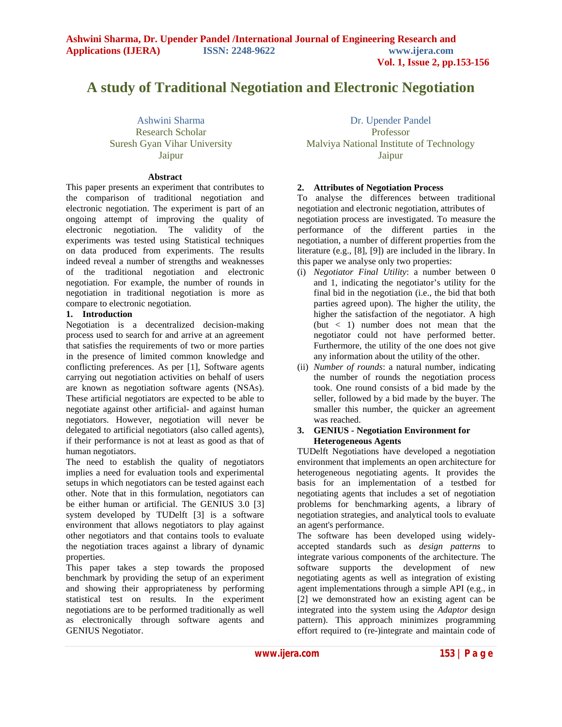# **A study of Traditional Negotiation and Electronic Negotiation**

Ashwini Sharma Research Scholar Suresh Gyan Vihar University Jaipur

#### **Abstract**

This paper presents an experiment that contributes to the comparison of traditional negotiation and electronic negotiation. The experiment is part of an ongoing attempt of improving the quality of electronic negotiation. The validity of the experiments was tested using Statistical techniques on data produced from experiments. The results indeed reveal a number of strengths and weaknesses of the traditional negotiation and electronic negotiation. For example, the number of rounds in negotiation in traditional negotiation is more as compare to electronic negotiation.

# **1. Introduction**

Negotiation is a decentralized decision-making process used to search for and arrive at an agreement that satisfies the requirements of two or more parties in the presence of limited common knowledge and conflicting preferences. As per [1], Software agents carrying out negotiation activities on behalf of users are known as negotiation software agents (NSAs). These artificial negotiators are expected to be able to negotiate against other artificial- and against human negotiators. However, negotiation will never be delegated to artificial negotiators (also called agents), if their performance is not at least as good as that of human negotiators.

The need to establish the quality of negotiators implies a need for evaluation tools and experimental setups in which negotiators can be tested against each other. Note that in this formulation, negotiators can be either human or artificial. The GENIUS 3.0 [3] system developed by TUDelft [3] is a software environment that allows negotiators to play against other negotiators and that contains tools to evaluate the negotiation traces against a library of dynamic properties.

This paper takes a step towards the proposed benchmark by providing the setup of an experiment and showing their appropriateness by performing statistical test on results. In the experiment negotiations are to be performed traditionally as well as electronically through software agents and GENIUS Negotiator.

Dr. Upender Pandel Professor Malviya National Institute of Technology Jaipur

# **2. Attributes of Negotiation Process**

To analyse the differences between traditional negotiation and electronic negotiation, attributes of negotiation process are investigated. To measure the performance of the different parties in the negotiation, a number of different properties from the literature (e.g., [8], [9]) are included in the library. In this paper we analyse only two properties:

- (i) *Negotiator Final Utility*: a number between 0 and 1, indicating the negotiator's utility for the final bid in the negotiation (i.e., the bid that both parties agreed upon). The higher the utility, the higher the satisfaction of the negotiator. A high  $(\text{but} < 1)$  number does not mean that the negotiator could not have performed better. Furthermore, the utility of the one does not give any information about the utility of the other.
- (ii) *Number of rounds*: a natural number, indicating the number of rounds the negotiation process took. One round consists of a bid made by the seller, followed by a bid made by the buyer. The smaller this number, the quicker an agreement was reached.

## **3. GENIUS - Negotiation Environment for Heterogeneous Agents**

TUDelft Negotiations have developed a negotiation environment that implements an open architecture for heterogeneous negotiating agents. It provides the basis for an implementation of a testbed for negotiating agents that includes a set of negotiation problems for benchmarking agents, a library of negotiation strategies, and analytical tools to evaluate an agent's performance.

The software has been developed using widelyaccepted standards such as *design patterns* to integrate various components of the architecture. The software supports the development of new negotiating agents as well as integration of existing agent implementations through a simple API (e.g., in [2] we demonstrated how an existing agent can be integrated into the system using the *Adaptor* design pattern). This approach minimizes programming effort required to (re-)integrate and maintain code of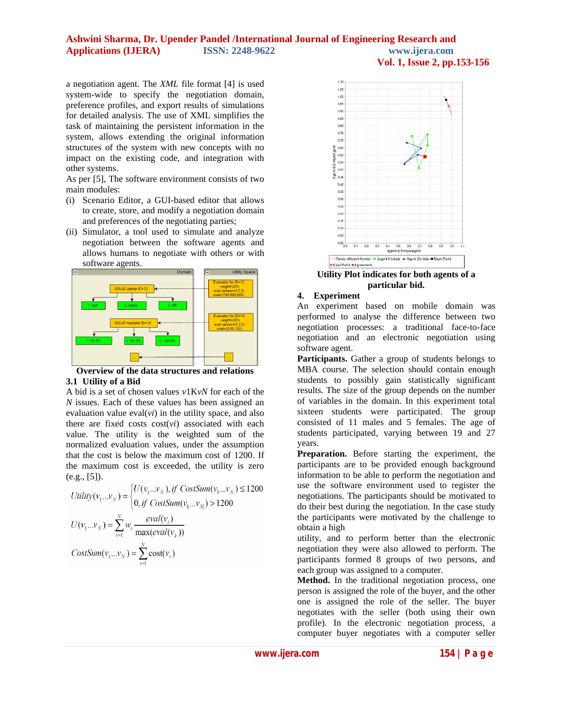## **Ashwini Sharma, Dr. Upender Pandel /International Journal of Engineering Research and Applications (IJERA) ISSN: 2248-9622 www.ijera.com Vol. 1, Issue 2, pp.153-156**

a negotiation agent. The *XML* file format [4] is used system-wide to specify the negotiation domain, preference profiles, and export results of simulations for detailed analysis. The use of XML simplifies the task of maintaining the persistent information in the system, allows extending the original information structures of the system with new concepts with no impact on the existing code, and integration with other systems.

As per [5], The software environment consists of two main modules:

- (i) Scenario Editor, a GUI-based editor that allows to create, store, and modify a negotiation domain and preferences of the negotiating parties;
- (ii) Simulator, a tool used to simulate and analyze negotiation between the software agents and allows humans to negotiate with others or with software agents.





A bid is a set of chosen values *v*1K*vN* for each of the *N* issues. Each of these values has been assigned an evaluation value  $eval(vi)$  in the utility space, and also there are fixed costs cost(*vi*) associated with each value. The utility is the weighted sum of the normalized evaluation values, under the assumption that the cost is below the maximum cost of 1200. If the maximum cost is exceeded, the utility is zero  $(e.g., [5])$ .

$$
Utility(v_1...v_N) = \begin{cases} U(v_1...v_N), if CostSum(v_1...v_N) \le 1200 \\ 0, if CostSum(v_1...v_N) > 1200 \end{cases}
$$

$$
U(v_1...v_N) = \sum_{i=1}^{N} w_i \frac{eval(v_i)}{\max(eval(v_k))}
$$

$$
CostSum(v_1...v_N) = \sum_{i=1}^{N} cost(v_i)
$$



**Utility Plot indicates for both agents of a particular bid.**

# **4. Experiment**

An experiment based on mobile domain was performed to analyse the difference between two negotiation processes: a traditional face-to-face negotiation and an electronic negotiation using software agent.

**Participants.** Gather a group of students belongs to MBA course. The selection should contain enough students to possibly gain statistically significant results. The size of the group depends on the number of variables in the domain. In this experiment total sixteen students were participated. The group consisted of 11 males and 5 females. The age of students participated, varying between 19 and 27 years.

**Preparation.** Before starting the experiment, the participants are to be provided enough background information to be able to perform the negotiation and use the software environment used to register the negotiations. The participants should be motivated to do their best during the negotiation. In the case study the participants were motivated by the challenge to obtain a high

utility, and to perform better than the electronic negotiation they were also allowed to perform. The participants formed 8 groups of two persons, and each group was assigned to a computer.

**Method.** In the traditional negotiation process, one person is assigned the role of the buyer, and the other one is assigned the role of the seller. The buyer negotiates with the seller (both using their own profile). In the electronic negotiation process, a computer buyer negotiates with a computer seller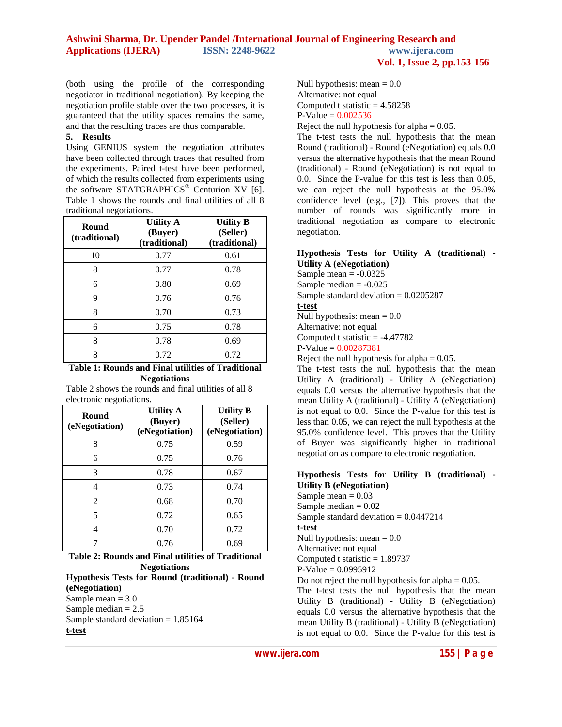# **Ashwini Sharma, Dr. Upender Pandel /International Journal of Engineering Research and Applications (IJERA) ISSN: 2248-9622 www.ijera.com Vol. 1, Issue 2, pp.153-156**

(both using the profile of the corresponding negotiator in traditional negotiation). By keeping the negotiation profile stable over the two processes, it is guaranteed that the utility spaces remains the same, and that the resulting traces are thus comparable.

# **5. Results**

Using GENIUS system the negotiation attributes have been collected through traces that resulted from the experiments. Paired t-test have been performed, of which the results collected from experiments using the software STATGRAPHICS<sup>®</sup> Centurion XV [6]. Table 1 shows the rounds and final utilities of all 8 traditional negotiations.

| Round<br>(traditional) | <b>Utility A</b><br>(Buyer)<br>(traditional) | <b>Utility B</b><br>(Seller)<br>(traditional) |
|------------------------|----------------------------------------------|-----------------------------------------------|
| 10                     | 0.77                                         | 0.61                                          |
| 8                      | 0.77                                         | 0.78                                          |
| 6                      | 0.80                                         | 0.69                                          |
| 9                      | 0.76                                         | 0.76                                          |
| 8                      | 0.70                                         | 0.73                                          |
| 6                      | 0.75                                         | 0.78                                          |
| 8                      | 0.78                                         | 0.69                                          |
| Ջ                      | 0.72                                         | 0.72                                          |

#### **Table 1: Rounds and Final utilities of Traditional Negotiations**

Table 2 shows the rounds and final utilities of all 8 electronic negotiations.

| Round<br>(eNegotiation) | <b>Utility A</b><br>(Buyer)<br>(eNegotiation) | <b>Utility B</b><br>(Seller)<br>(eNegotiation) |
|-------------------------|-----------------------------------------------|------------------------------------------------|
| 8                       | 0.75                                          | 0.59                                           |
| 6                       | 0.75                                          | 0.76                                           |
| 3                       | 0.78                                          | 0.67                                           |
| 4                       | 0.73                                          | 0.74                                           |
| $\mathfrak{D}$          | 0.68                                          | 0.70                                           |
| 5                       | 0.72                                          | 0.65                                           |
| 4                       | 0.70                                          | 0.72                                           |
|                         | 0.76                                          | 0.69                                           |

**Table 2: Rounds and Final utilities of Traditional Negotiations Hypothesis Tests for Round (traditional) - Round (eNegotiation)** Sample mean  $= 3.0$ 

Sample median  $= 2.5$ Sample standard deviation = 1.85164 **t-test**

Null hypothesis: mean  $= 0.0$ Alternative: not equal Computed t statistic  $= 4.58258$  $P-Value = 0.002536$ 

Reject the null hypothesis for alpha  $= 0.05$ .

The t-test tests the null hypothesis that the mean Round (traditional) - Round (eNegotiation) equals 0.0 versus the alternative hypothesis that the mean Round (traditional) - Round (eNegotiation) is not equal to 0.0. Since the P-value for this test is less than 0.05, we can reject the null hypothesis at the 95.0% confidence level (e.g., [7]). This proves that the number of rounds was significantly more in traditional negotiation as compare to electronic negotiation.

# **Hypothesis Tests for Utility A (traditional) - Utility A (eNegotiation)**

Sample mean  $= -0.0325$ Sample median  $= -0.025$ Sample standard deviation  $= 0.0205287$ 

# **t-test**

Null hypothesis: mean  $= 0.0$ Alternative: not equal Computed t statistic  $= -4.47782$ 

 $P-Value = 0.00287381$ 

Reject the null hypothesis for alpha  $= 0.05$ .

The t-test tests the null hypothesis that the mean Utility A (traditional) - Utility A (eNegotiation) equals 0.0 versus the alternative hypothesis that the mean Utility A (traditional) - Utility A (eNegotiation) is not equal to 0.0. Since the P-value for this test is less than 0.05, we can reject the null hypothesis at the 95.0% confidence level. This proves that the Utility of Buyer was significantly higher in traditional negotiation as compare to electronic negotiation.

#### **Hypothesis Tests for Utility B (traditional) - Utility B (eNegotiation)**

Sample mean  $= 0.03$ Sample median  $= 0.02$ Sample standard deviation  $= 0.0447214$ 

**t-test**

Null hypothesis: mean  $= 0.0$ 

Alternative: not equal

Computed t statistic  $= 1.89737$ 

 $P-Value = 0.0995912$ 

Do not reject the null hypothesis for alpha  $= 0.05$ .

The t-test tests the null hypothesis that the mean Utility B (traditional) - Utility B (eNegotiation) equals 0.0 versus the alternative hypothesis that the mean Utility B (traditional) - Utility B (eNegotiation) is not equal to 0.0. Since the P-value for this test is